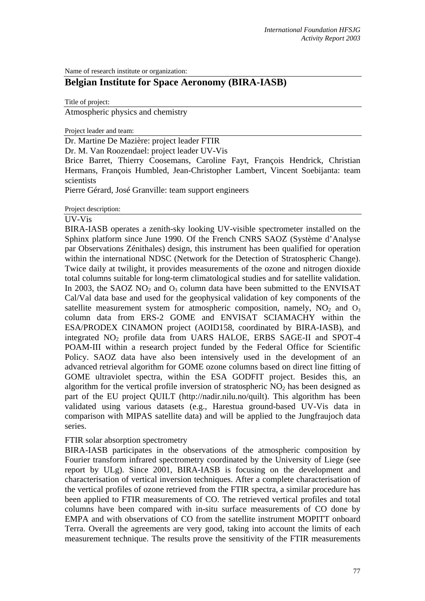Name of research institute or organization:

# **Belgian Institute for Space Aeronomy (BIRA-IASB)**

Title of project:

Atmospheric physics and chemistry

Project leader and team:

Dr. Martine De Mazière: project leader FTIR

Dr. M. Van Roozendael: project leader UV-Vis

Brice Barret, Thierry Coosemans, Caroline Fayt, François Hendrick, Christian Hermans, François Humbled, Jean-Christopher Lambert, Vincent Soebijanta: team scientists

Pierre Gérard, José Granville: team support engineers

Project description:

#### UV-Vis

BIRA-IASB operates a zenith-sky looking UV-visible spectrometer installed on the Sphinx platform since June 1990. Of the French CNRS SAOZ (Système d'Analyse par Observations Zénithales) design, this instrument has been qualified for operation within the international NDSC (Network for the Detection of Stratospheric Change). Twice daily at twilight, it provides measurements of the ozone and nitrogen dioxide total columns suitable for long-term climatological studies and for satellite validation. In 2003, the SAOZ  $NO<sub>2</sub>$  and  $O<sub>3</sub>$  column data have been submitted to the ENVISAT Cal/Val data base and used for the geophysical validation of key components of the satellite measurement system for atmospheric composition, namely,  $NO<sub>2</sub>$  and  $O<sub>3</sub>$ column data from ERS-2 GOME and ENVISAT SCIAMACHY within the ESA/PRODEX CINAMON project (AOID158, coordinated by BIRA-IASB), and integrated NO<sub>2</sub> profile data from UARS HALOE, ERBS SAGE-II and SPOT-4 POAM-III within a research project funded by the Federal Office for Scientific Policy. SAOZ data have also been intensively used in the development of an advanced retrieval algorithm for GOME ozone columns based on direct line fitting of GOME ultraviolet spectra, within the ESA GODFIT project. Besides this, an algorithm for the vertical profile inversion of stratospheric  $NO<sub>2</sub>$  has been designed as part of the EU project QUILT (http://nadir.nilu.no/quilt). This algorithm has been validated using various datasets (e.g., Harestua ground-based UV-Vis data in comparison with MIPAS satellite data) and will be applied to the Jungfraujoch data series.

## FTIR solar absorption spectrometry

BIRA-IASB participates in the observations of the atmospheric composition by Fourier transform infrared spectrometry coordinated by the University of Liege (see report by ULg). Since 2001, BIRA-IASB is focusing on the development and characterisation of vertical inversion techniques. After a complete characterisation of the vertical profiles of ozone retrieved from the FTIR spectra, a similar procedure has been applied to FTIR measurements of CO. The retrieved vertical profiles and total columns have been compared with in-situ surface measurements of CO done by EMPA and with observations of CO from the satellite instrument MOPITT onboard Terra. Overall the agreements are very good, taking into account the limits of each measurement technique. The results prove the sensitivity of the FTIR measurements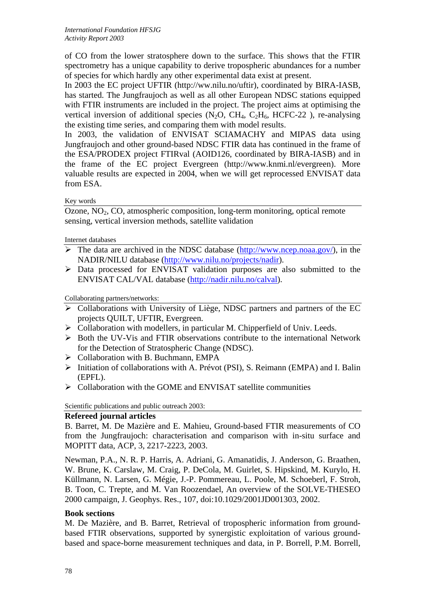of CO from the lower stratosphere down to the surface. This shows that the FTIR spectrometry has a unique capability to derive tropospheric abundances for a number of species for which hardly any other experimental data exist at present.

In 2003 the EC project UFTIR (http://ww.nilu.no/uftir), coordinated by BIRA-IASB, has started. The Jungfraujoch as well as all other European NDSC stations equipped with FTIR instruments are included in the project. The project aims at optimising the vertical inversion of additional species  $(N_2O, CH_4, C_2H_6, HCFC-22)$ , re-analysing the existing time series, and comparing them with model results.

In 2003, the validation of ENVISAT SCIAMACHY and MIPAS data using Jungfraujoch and other ground-based NDSC FTIR data has continued in the frame of the ESA/PRODEX project FTIRval (AOID126, coordinated by BIRA-IASB) and in the frame of the EC project Evergreen (http://www.knmi.nl/evergreen). More valuable results are expected in 2004, when we will get reprocessed ENVISAT data from ESA.

Key words

Ozone, NO2, CO, atmospheric composition, long-term monitoring, optical remote sensing, vertical inversion methods, satellite validation

Internet databases

- $\triangleright$  The data are archived in the NDSC database ([http://www.ncep.noaa.gov/\)](http://www.ndsc.ncep.noaa.gov/), in the NADIR/NILU database ([http://www.nilu.no/projects/nadir\)](http://www.nilu.no/projects/nadir).
- ¾ Data processed for ENVISAT validation purposes are also submitted to the ENVISAT CAL/VAL database [\(http://nadir.nilu.no/calval](http://nadir.nilu.no/calval)).

Collaborating partners/networks:

- $\triangleright$  Collaborations with University of Liège, NDSC partners and partners of the EC projects QUILT, UFTIR, Evergreen.
- $\triangleright$  Collaboration with modellers, in particular M. Chipperfield of Univ. Leeds.
- ¾ Both the UV-Vis and FTIR observations contribute to the international Network for the Detection of Stratospheric Change (NDSC).
- ¾ Collaboration with B. Buchmann, EMPA
- ¾ Initiation of collaborations with A. Prévot (PSI), S. Reimann (EMPA) and I. Balin (EPFL).
- $\triangleright$  Collaboration with the GOME and ENVISAT satellite communities

Scientific publications and public outreach 2003:

## **Refereed journal articles**

B. Barret, M. De Mazière and E. Mahieu, Ground-based FTIR measurements of CO from the Jungfraujoch: characterisation and comparison with in-situ surface and MOPITT data, ACP, 3, 2217-2223, 2003.

Newman, P.A., N. R. P. Harris, A. Adriani, G. Amanatidis, J. Anderson, G. Braathen, W. Brune, K. Carslaw, M. Craig, P. DeCola, M. Guirlet, S. Hipskind, M. Kurylo, H. Küllmann, N. Larsen, G. Mégie, J.-P. Pommereau, L. Poole, M. Schoeberl, F. Stroh, B. Toon, C. Trepte, and M. Van Roozendael, An overview of the SOLVE-THESEO 2000 campaign, J. Geophys. Res., 107, doi:10.1029/2001JD001303, 2002.

## **Book sections**

M. De Mazière, and B. Barret, Retrieval of tropospheric information from groundbased FTIR observations, supported by synergistic exploitation of various groundbased and space-borne measurement techniques and data, in P. Borrell, P.M. Borrell,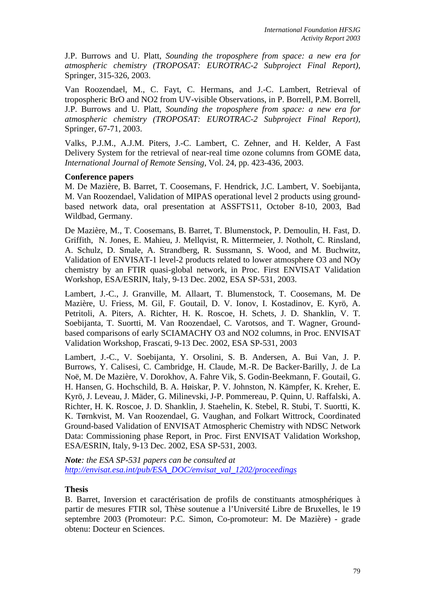J.P. Burrows and U. Platt, *Sounding the troposphere from space: a new era for atmospheric chemistry (TROPOSAT: EUROTRAC-2 Subproject Final Report)*, Springer, 315-326, 2003.

Van Roozendael, M., C. Fayt, C. Hermans, and J.-C. Lambert, Retrieval of tropospheric BrO and NO2 from UV-visible Observations, in P. Borrell, P.M. Borrell, J.P. Burrows and U. Platt, *Sounding the troposphere from space: a new era for atmospheric chemistry (TROPOSAT: EUROTRAC-2 Subproject Final Report)*, Springer, 67-71, 2003.

Valks, P.J.M., A.J.M. Piters, J.-C. Lambert, C. Zehner, and H. Kelder, A Fast Delivery System for the retrieval of near-real time ozone columns from GOME data, *International Journal of Remote Sensing*, Vol. 24, pp. 423-436, 2003.

#### **Conference papers**

M. De Mazière, B. Barret, T. Coosemans, F. Hendrick, J.C. Lambert, V. Soebijanta, M. Van Roozendael, Validation of MIPAS operational level 2 products using groundbased network data, oral presentation at ASSFTS11, October 8-10, 2003, Bad Wildbad, Germany.

De Mazière, M., T. Coosemans, B. Barret, T. Blumenstock, P. Demoulin, H. Fast, D. Griffith, N. Jones, E. Mahieu, J. Mellqvist, R. Mittermeier, J. Notholt, C. Rinsland, A. Schulz, D. Smale, A. Strandberg, R. Sussmann, S. Wood, and M. Buchwitz, Validation of ENVISAT-1 level-2 products related to lower atmosphere O3 and NOy chemistry by an FTIR quasi-global network, in Proc. First ENVISAT Validation Workshop, ESA/ESRIN, Italy, 9-13 Dec. 2002, ESA SP-531, 2003.

Lambert, J.-C., J. Granville, M. Allaart, T. Blumenstock, T. Coosemans, M. De Mazière, U. Friess, M. Gil, F. Goutail, D. V. Ionov, I. Kostadinov, E. Kyrö, A. Petritoli, A. Piters, A. Richter, H. K. Roscoe, H. Schets, J. D. Shanklin, V. T. Soebijanta, T. Suortti, M. Van Roozendael, C. Varotsos, and T. Wagner, Groundbased comparisons of early SCIAMACHY O3 and NO2 columns, in Proc. ENVISAT Validation Workshop, Frascati, 9-13 Dec. 2002, ESA SP-531, 2003

Lambert, J.-C., V. Soebijanta, Y. Orsolini, S. B. Andersen, A. Bui Van, J. P. Burrows, Y. Calisesi, C. Cambridge, H. Claude, M.-R. De Backer-Barilly, J. de La Noë, M. De Mazière, V. Dorokhov, A. Fahre Vik, S. Godin-Beekmann, F. Goutail, G. H. Hansen, G. Hochschild, B. A. Høiskar, P. V. Johnston, N. Kämpfer, K. Kreher, E. Kyrö, J. Leveau, J. Mäder, G. Milinevski, J-P. Pommereau, P. Quinn, U. Raffalski, A. Richter, H. K. Roscoe, J. D. Shanklin, J. Staehelin, K. Stebel, R. Stubi, T. Suortti, K. K. Tørnkvist, M. Van Roozendael, G. Vaughan, and Folkart Wittrock, Coordinated Ground-based Validation of ENVISAT Atmospheric Chemistry with NDSC Network Data: Commissioning phase Report, in Proc. First ENVISAT Validation Workshop, ESA/ESRIN, Italy, 9-13 Dec. 2002, ESA SP-531, 2003.

*Note: the ESA SP-531 papers can be consulted at [http://envisat.esa.int/pub/ESA\\_DOC/envisat\\_val\\_1202/proceedings](http://envisat.esa.int/pub/ESA_DOC/envisat_val_1202/proceedings)* 

## **Thesis**

B. Barret, Inversion et caractérisation de profils de constituants atmosphériques à partir de mesures FTIR sol, Thèse soutenue a l'Université Libre de Bruxelles, le 19 septembre 2003 (Promoteur: P.C. Simon, Co-promoteur: M. De Mazière) - grade obtenu: Docteur en Sciences.